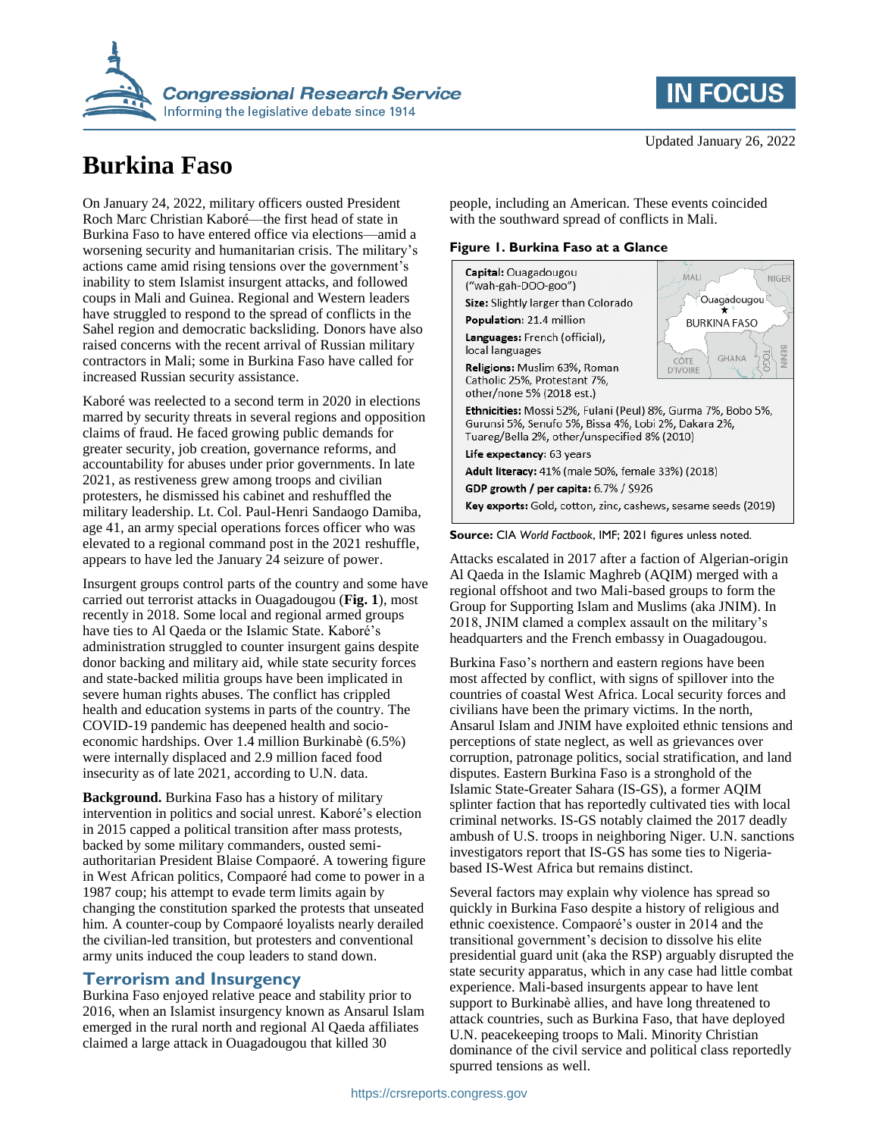

# **Burkina Faso**

On January 24, 2022, military officers ousted President Roch Marc Christian Kaboré—the first head of state in Burkina Faso to have entered office via elections—amid a worsening security and humanitarian crisis. The military's actions came amid rising tensions over the government's inability to stem Islamist insurgent attacks, and followed coups in Mali and Guinea. Regional and Western leaders have struggled to respond to the spread of conflicts in the Sahel region and democratic backsliding. Donors have also raised concerns with the recent arrival of Russian military contractors in Mali; some in Burkina Faso have called for increased Russian security assistance.

Kaboré was reelected to a second term in 2020 in elections marred by security threats in several regions and opposition claims of fraud. He faced growing public demands for greater security, job creation, governance reforms, and accountability for abuses under prior governments. In late 2021, as restiveness grew among troops and civilian protesters, he dismissed his cabinet and reshuffled the military leadership. Lt. Col. Paul-Henri Sandaogo Damiba, age 41, an army special operations forces officer who was elevated to a regional command post in the 2021 reshuffle, appears to have led the January 24 seizure of power.

Insurgent groups control parts of the country and some have carried out terrorist attacks in Ouagadougou (**Fig. 1**), most recently in 2018. Some local and regional armed groups have ties to Al Qaeda or the Islamic State. Kaboré's administration struggled to counter insurgent gains despite donor backing and military aid, while state security forces and state-backed militia groups have been implicated in severe human rights abuses. The conflict has crippled health and education systems in parts of the country. The COVID-19 pandemic has deepened health and socioeconomic hardships. Over 1.4 million Burkinabè (6.5%) were internally displaced and 2.9 million faced food insecurity as of late 2021, according to U.N. data.

**Background.** Burkina Faso has a history of military intervention in politics and social unrest. Kaboré's election in 2015 capped a political transition after mass protests, backed by some military commanders, ousted semiauthoritarian President Blaise Compaoré. A towering figure in West African politics, Compaoré had come to power in a 1987 coup; his attempt to evade term limits again by changing the constitution sparked the protests that unseated him. A counter-coup by Compaoré loyalists nearly derailed the civilian-led transition, but protesters and conventional army units induced the coup leaders to stand down.

### **Terrorism and Insurgency**

Burkina Faso enjoyed relative peace and stability prior to 2016, when an Islamist insurgency known as Ansarul Islam emerged in the rural north and regional Al Qaeda affiliates claimed a large attack in Ouagadougou that killed 30



people, including an American. These events coincided with the southward spread of conflicts in Mali.

#### **Figure 1. Burkina Faso at a Glance**





Attacks escalated in 2017 after a faction of Algerian-origin Al Qaeda in the Islamic Maghreb (AQIM) merged with a regional offshoot and two Mali-based groups to form the Group for Supporting Islam and Muslims (aka JNIM). In 2018, JNIM clamed a complex assault on the military's headquarters and the French embassy in Ouagadougou.

Burkina Faso's northern and eastern regions have been most affected by conflict, with signs of spillover into the countries of coastal West Africa. Local security forces and civilians have been the primary victims. In the north, Ansarul Islam and JNIM have exploited ethnic tensions and perceptions of state neglect, as well as grievances over corruption, patronage politics, social stratification, and land disputes. Eastern Burkina Faso is a stronghold of the Islamic State-Greater Sahara (IS-GS), a former AQIM splinter faction that has reportedly cultivated ties with local criminal networks. IS-GS notably claimed the 2017 deadly ambush of U.S. troops in neighboring Niger. U.N. sanctions investigators report that IS-GS has some ties to Nigeriabased IS-West Africa but remains distinct.

Several factors may explain why violence has spread so quickly in Burkina Faso despite a history of religious and ethnic coexistence. Compaoré's ouster in 2014 and the transitional government's decision to dissolve his elite presidential guard unit (aka the RSP) arguably disrupted the state security apparatus, which in any case had little combat experience. Mali-based insurgents appear to have lent support to Burkinabè allies, and have long threatened to attack countries, such as Burkina Faso, that have deployed U.N. peacekeeping troops to Mali. Minority Christian dominance of the civil service and political class reportedly spurred tensions as well.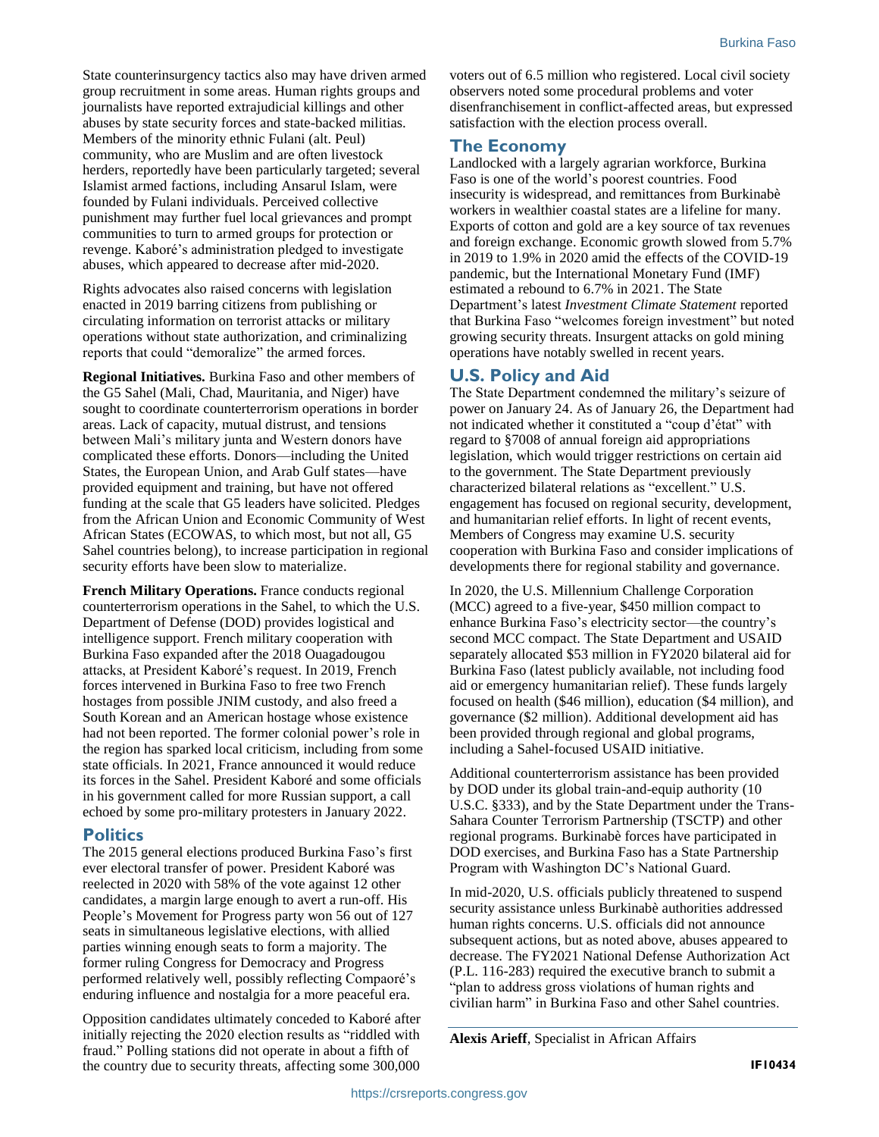State counterinsurgency tactics also may have driven armed group recruitment in some areas. Human rights groups and journalists have reported extrajudicial killings and other abuses by state security forces and state-backed militias. Members of the minority ethnic Fulani (alt. Peul) community, who are Muslim and are often livestock herders, reportedly have been particularly targeted; several Islamist armed factions, including Ansarul Islam, were founded by Fulani individuals. Perceived collective punishment may further fuel local grievances and prompt communities to turn to armed groups for protection or revenge. Kaboré's administration pledged to investigate abuses, which appeared to decrease after mid-2020.

Rights advocates also raised concerns with legislation enacted in 2019 barring citizens from publishing or circulating information on terrorist attacks or military operations without state authorization, and criminalizing reports that could "demoralize" the armed forces.

**Regional Initiatives.** Burkina Faso and other members of the G5 Sahel (Mali, Chad, Mauritania, and Niger) have sought to coordinate counterterrorism operations in border areas. Lack of capacity, mutual distrust, and tensions between Mali's military junta and Western donors have complicated these efforts. Donors—including the United States, the European Union, and Arab Gulf states—have provided equipment and training, but have not offered funding at the scale that G5 leaders have solicited. Pledges from the African Union and Economic Community of West African States (ECOWAS, to which most, but not all, G5 Sahel countries belong), to increase participation in regional security efforts have been slow to materialize.

**French Military Operations.** France conducts regional counterterrorism operations in the Sahel, to which the U.S. Department of Defense (DOD) provides logistical and intelligence support. French military cooperation with Burkina Faso expanded after the 2018 Ouagadougou attacks, at President Kaboré's request. In 2019, French forces intervened in Burkina Faso to free two French hostages from possible JNIM custody, and also freed a South Korean and an American hostage whose existence had not been reported. The former colonial power's role in the region has sparked local criticism, including from some state officials. In 2021, France announced it would reduce its forces in the Sahel. President Kaboré and some officials in his government called for more Russian support, a call echoed by some pro-military protesters in January 2022.

#### **Politics**

The 2015 general elections produced Burkina Faso's first ever electoral transfer of power. President Kaboré was reelected in 2020 with 58% of the vote against 12 other candidates, a margin large enough to avert a run-off. His People's Movement for Progress party won 56 out of 127 seats in simultaneous legislative elections, with allied parties winning enough seats to form a majority. The former ruling Congress for Democracy and Progress performed relatively well, possibly reflecting Compaoré's enduring influence and nostalgia for a more peaceful era.

Opposition candidates ultimately conceded to Kaboré after initially rejecting the 2020 election results as "riddled with fraud." Polling stations did not operate in about a fifth of the country due to security threats, affecting some 300,000 voters out of 6.5 million who registered. Local civil society observers noted some procedural problems and voter disenfranchisement in conflict-affected areas, but expressed satisfaction with the election process overall.

#### **The Economy**

Landlocked with a largely agrarian workforce, Burkina Faso is one of the world's poorest countries. Food insecurity is widespread, and remittances from Burkinabè workers in wealthier coastal states are a lifeline for many. Exports of cotton and gold are a key source of tax revenues and foreign exchange. Economic growth slowed from 5.7% in 2019 to 1.9% in 2020 amid the effects of the COVID-19 pandemic, but the International Monetary Fund (IMF) estimated a rebound to 6.7% in 2021. The State Department's latest *Investment Climate Statement* reported that Burkina Faso "welcomes foreign investment" but noted growing security threats. Insurgent attacks on gold mining operations have notably swelled in recent years.

#### **U.S. Policy and Aid**

The State Department condemned the military's seizure of power on January 24. As of January 26, the Department had not indicated whether it constituted a "coup d'état" with regard to §7008 of annual foreign aid appropriations legislation, which would trigger restrictions on certain aid to the government. The State Department previously characterized bilateral relations as "excellent." U.S. engagement has focused on regional security, development, and humanitarian relief efforts. In light of recent events, Members of Congress may examine U.S. security cooperation with Burkina Faso and consider implications of developments there for regional stability and governance.

In 2020, the U.S. Millennium Challenge Corporation (MCC) agreed to a five-year, \$450 million compact to enhance Burkina Faso's electricity sector—the country's second MCC compact. The State Department and USAID separately allocated \$53 million in FY2020 bilateral aid for Burkina Faso (latest publicly available, not including food aid or emergency humanitarian relief). These funds largely focused on health (\$46 million), education (\$4 million), and governance (\$2 million). Additional development aid has been provided through regional and global programs, including a Sahel-focused USAID initiative.

Additional counterterrorism assistance has been provided by DOD under its global train-and-equip authority (10 U.S.C. §333), and by the State Department under the Trans-Sahara Counter Terrorism Partnership (TSCTP) and other regional programs. Burkinabè forces have participated in DOD exercises, and Burkina Faso has a State Partnership Program with Washington DC's National Guard.

In mid-2020, U.S. officials publicly threatened to suspend security assistance unless Burkinabè authorities addressed human rights concerns. U.S. officials did not announce subsequent actions, but as noted above, abuses appeared to decrease. The FY2021 National Defense Authorization Act (P.L. 116-283) required the executive branch to submit a "plan to address gross violations of human rights and civilian harm" in Burkina Faso and other Sahel countries.

**Alexis Arieff**, Specialist in African Affairs